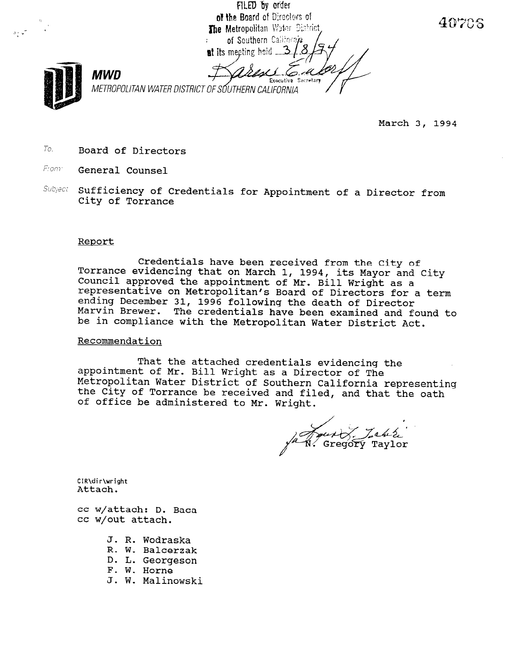FILED by order of the Board of Directors of The Metropolitan Water District, of Southern California at its meeting held .... MWD Exerutive Sacretart METROPOLITAN WATER DISTRICT OF SÓUTHERN CALIFORNIA

March 3, 1994

40705

- $To.$  Board of Directors
- From: General Counsel

 $\sim$   $\sim$ ,

> Subject Sufficiency of Credentials for Appointment of a Director from City of Torrance

#### Renort

Credentials have been received from the City of Torrance evidencing that on March 1, 1994, its Mayor and City Council approved the appointment of Mr. Bill Wright as a representative on Metropolitan's Board of Directors for a term --p-----neathe on necroporitan s board of Directors Id<br>ending December 31, 1996 following the death of Direct Marvin Brewer. The credentials have been examined and found to be in compliance with the Metropolitan Water District Act.

### Recommendation

That the attached credentials evidencing the appointment of Mr. Bill Wright as a Director of The Metropolitan Water District of Couthern California representing the City of Torrance be received and filed, and the the oath the City of Torrance be received and filed, and that the oath of office be administered to Mr. Wright.

Gregory Taylor

CIR\dir\wright }

 $\alpha$  attached:  $\alpha$ cc w/attach: D

- J. R. Wodraska u. K. woarask<br>P. U. B
- k. w. Baicerza
- D. L. Georgeson<br>F. W. Horne
- 
- J. W. Malinowski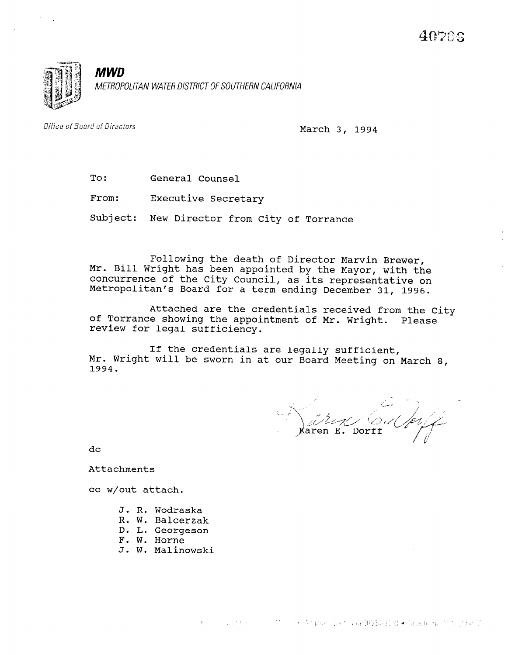

Office of Board of Directors

March 3, 1994

| To: | General Counsel |  |
|-----|-----------------|--|
|     |                 |  |

From: Executive Secretary

Subject: New Director from City of Torrance

Mr. Bill Wright has been appointed by the Mayor, with the Following the death of Director Marvin Brewer, concurrence of the City Council, as its representative on Metropolitan's Board for a term ending December 31, 1996.

Attached are the credentials received from the City of Torrance showing the appointment of Mr. Wright. Please review for legal sufficiency.

If the credentials are legally sufficient, Mr. Wright will be sworn in at our Board Meeting on March 8, 1994.

Raren E. Dorff

dc

Attachments

cc w/out attach.

- J. R. Wodraska u. K. WOULDSK<br>D. W. Balcerz
- n. w. Daicerza<br>D. I. Georgeson
- D. L. Georgeson<br>F. W. Horne
- 
- J. W. Malinowski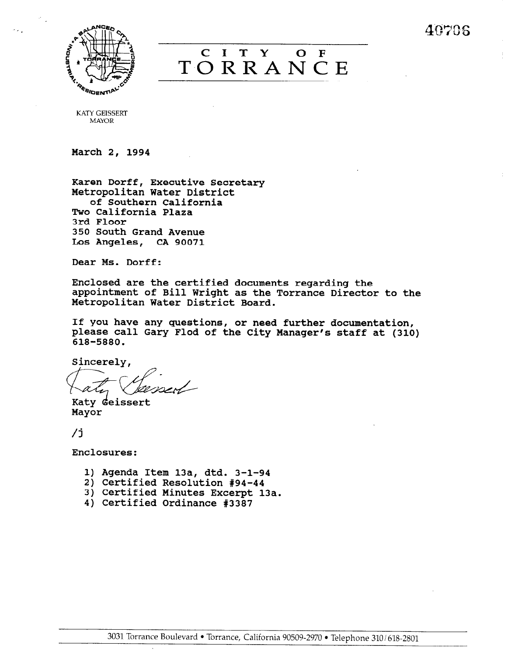40706



# CITY OF **TORRANCE**

KATY GEISSERT MAYOR

March 2, 1994

Karen Dorff, Executive Secretary Metropolitan Water District of Southern California Two California Plaza 3rd Floor 350 South Grand Avenue Los Angeles, CA 90071

Dear Ms. Dorff:

Enclosed are the certified documents regarding the appointment of Bill Wright as the Torrance Director to the Metropolitan Water District Board.

If you have any questions, or need further documentation, please call Gary Flod of the City Manager's staff at (310) 618-5880.

Sincerely,

Katy deissert Mayor

/j

Enclosures:

- 1) Agenda Item 13a, dtd. 3-l-94
- 2) Certified Resolution #94-44
- 3) Certified Minutes Excerpt 13a.
- 4) Certified Ordinance #3387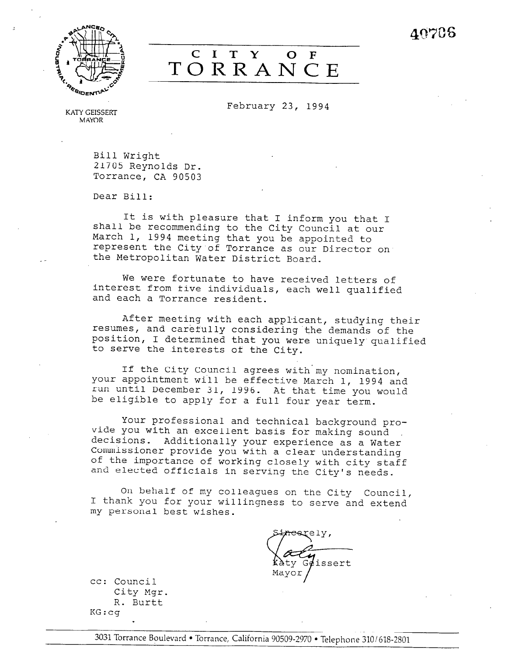40706



## C I T Y  $\overline{O}$  F TORRANCE

February 23, 1994

KATY GEISSERT MAYOR

Bill Wright 21705 Reynolds Dr. Torrance, CA 90503

Dear Bill:

It is with pleasure that I inform you that I shall be recommending to the City Council at our March 1, 1994 meeting that you be appointed to represent the City of Torrance as our Director on the Metropolitan Water District Board.

We were fortunate to have received letters of interest from five individuals, each well qualified and each a Torrance resident.

After meeting with each applicant, studying their resumes, and carefully considering'the demands of the position, I determined that you were uniquely qualified to serve the interests of the City.

If the City Council agrees with'my nomination, your appointment will be effective March 1, 1994 and run until December 31, 1996. At that time you would be eligible to apply for a full four year term.

Your professional and technical background provide you with an excellent basis for making sound decisions. Additionally your experience as a Water assisions. Additionally your experience as a w of the importance you with a clear understandin and elected officials in service of the City's needs.

On behalf of my colleagues on the City Council, I thenk you for my correagnes on the CIty Council me personal best your w

ty  $G$  $\ell$ issert

cc: Council Council<br>City Marc  $L_{\text{L}}$   $L_{\text{L}}$ R. Burtt<br>KG:cq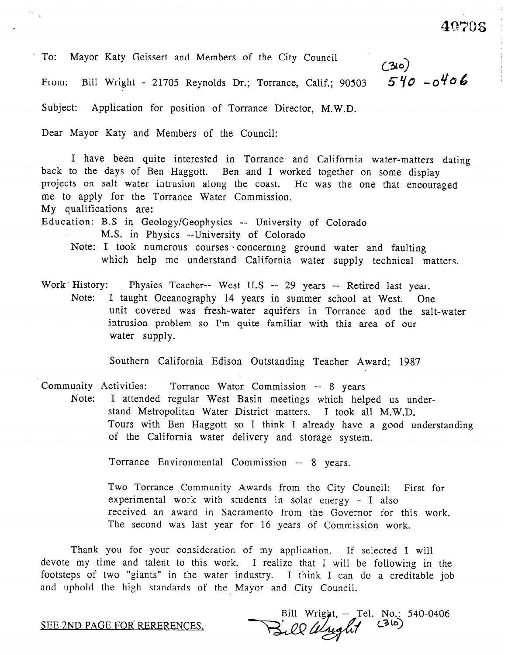40706

To: Mayor Katy Geissert and Members of the City Council

From: Bill Wright - 21705 Reynolds Dr.; Torrance, Calif.; 90503

 $(30)$ <br>540-0406

Subject: Application for position of Torrance Director, M.W.D.

Dear Mayor Katy and Members of the Council:

I have been quite interested in Torrance and California water-matters dating back to the days of Ben Haggott. Ben and I worked together on some display projects on salt water intrusion along the coast. He was the one that encouraged me to apply for the Torrance Water Commission.

My qualifications are:

Education: B.S in Geology/Geophysics -- University of Colorado

- M.S. in Physics --University of Colorado
- Note: I took numerous courses concerning ground water and faulting which help me understand California water supply technical matters.
- Work History: Physics Teacher-- West H.S -- 29 years -- Retired last year. Note: I taught Oceanography 14 years in summer school at West. One unit covered was fresh-water aquifers in Torrance and the salt-water intrusion problem so I'm quite familiar with this area of our water supply.

Southern California Edison Outstanding Teacher Award; 1987

Community Activities: Torrance Water Commission -- 8 years

Note: I attended regular West Basin meetings which helped us understand Metropolitan Water District matters. I took all M.W.D. Tours with Ben Haggott so I think I already have a good understanding of the California water delivery and storage system.

Torrance Environmental Commission -- 8 years.

Two Torrance Community Awards from the City Council: First for experimental work with students in solar energy - I also received an award in Sacramento from the Governor for this work. The second was last year for 16 years of Commission work.

Thank you for your consideration of my application. If selected I will devote my time and talent to this work. I realize that I will be following in the footsteps of two "giants" in the water industry. I think I can do a creditable job and uphold the high standards of the Mayor and City Council.

SEE.2ND PAGE FOR RERERENCES,

No.: 540-0406  $\frac{1}{2}$ ee Wright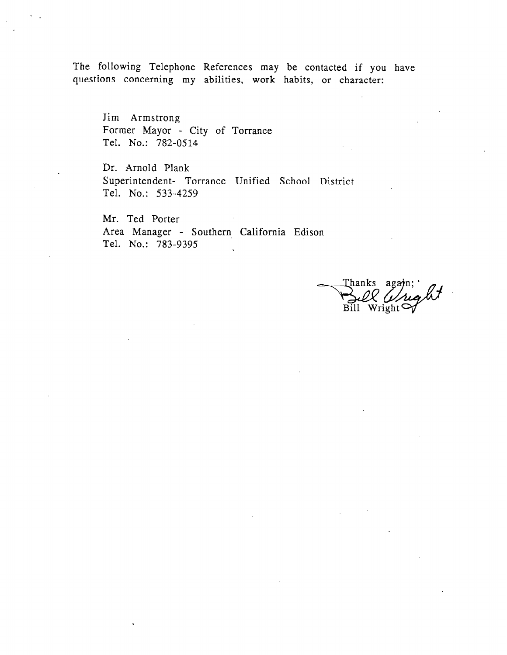The following Telephone References may be contacted if you have questions concerning my abilities, work habits, or character:

Jim Armstrong Former Mayor - City of Torrance Tel. No.: 782-0514

Dr. Arnold Plank Superintendent- Torrance Unified School District Tel. No.: 533-4259

Mr. Ted Porter Area Manager - Southern California Edison Tel. No.: 783-9395 .

Thanks again;  $\overline{Bi11}$ Wright  $\mathfrak{S}$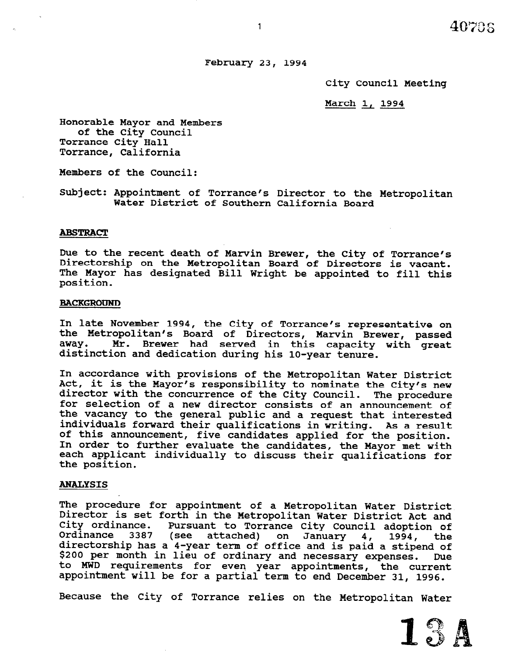## February 23, 1994

City Council Meeting

March 1, 1994

Honorable Mayor and Members of the City Council Torrance City Hall Torrance, California

Members of the Council:

Subject: Appointment of Torrance's Director to the Metropolitan Water District of Southern California Board

### ABSTRACT

Due to the recent death of Marvin Brewer, the City of Torrance's Directorship on the Metropolitan Board of Directors is vacant. The Mayor has designated Bill Wright be appointed to fill this position.

#### **BACKGROUND**

In late November 1994, the City of Torrance's representative on the Metropolitan's Board of Directors, Marvin Brewer, passed away. Mr. Brewer had served in this capacity with great distinction and dedication during his lo-year tenure.

In accordance with provisions of the Metropolitan Water District Act, it is the Mayor's responsibility to nominate the City's new director with the concurrence of the City Council. The procedure for selection of a new director consists of an announcement of the vacancy to the general public and a request that interested individuals forward their qualifications in writing. As a result of this announcement, five candidates applied for the position. In order to further evaluate the candidates, the Mayor met with In order to rurther evaluate the candidates, the mayor met with each applicant individually to discuss their qualifications for<br>the position.

#### ANALYSIS

 $\mathbf{m}$  procedure for appointment of a Metropolitan Water  $\mathbf{m}$ Ine procedure for appointment of a metropolitan water District<br>Director is set farth in the Metropoliter Metro District Act and pited ordinance. The month to Torrance City Council adoption of City ordinance.<br>Ordinance 3387 ance. Pursuant to Torrance City Council adoption of<br>3387 (see attached) on January 4, 1994, the directorship has a 4-year term of office and is paid a stipend of the stipend of the stipend of the stipend of<br>directorship has a 4-year term of office and issue in the state of differentially has a 4-year term of office and is paid a stipend of \$200 per month in lieu of ordinary and necessary expenses. Due<br>to MWD requirements for even year appointments, the current appointment will be for a partial term to end December 31, 1996.

Because the City of Torrance relies on the Metropolitan Water

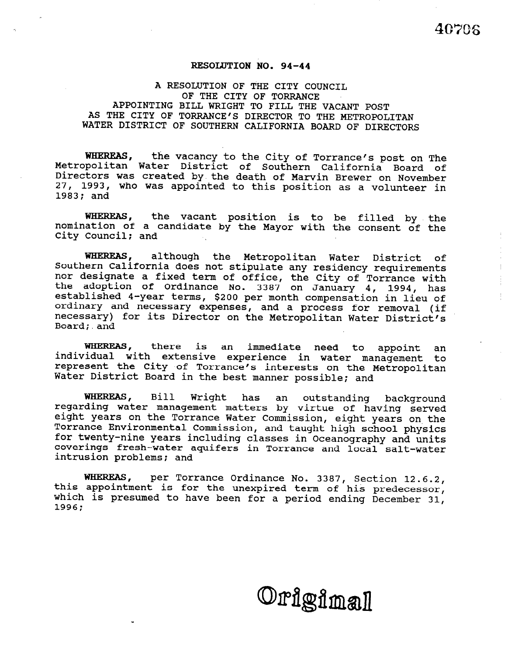## RESOLUTION NO. 94-44

## A RESOLUTION OF THE CITY COUNCIL OF THE CITY OF TORRANCE APPOINTING BILL WRIGHT TO FILL THE VACANT POST AS THE CITY OF TORRANCE'S DIRECTOR TO THE METROPOLITAN WATER DISTRICT OF SOUTHERN CALIFORNIA BOARD OF DIRECTORS

WHEREAS, Metropolitan Water District of Southern California Board of the vacancy to the City of Torrance's post on The Directors was created by.the death of Marvin Brewer on November 27, 1993, who was appointed to this position as a volunteer in 1983; and

WHEREAS, the vacant position is to be filled by the nomination of a candidate by the Mayor with the consent of the City Council; and

WHEREAS, although the Metropolitan Water District of Southern California does not stipulate any residency requirements nor designate a fixed term of office. the City of Torrance with the adoption of Ordinance No. 3387 on January 4, 1994, has established 4-year terms, \$200 per month compensation in lieu of ordinary and necessary expenses, and a process for removal (if necessary) for its Director on the Metropolitan Water District's Board; and

WHEREAS, there is an immediate need to appoint an individual with extensive experience in water management to represent the City of Torrance's interests on the Metropolitan Water District Board in the best manner possible; and

WHEREAS, Bill Wright has an outstanding background regarding water management matters by virtue of having served eight years on the Torrance Water Commission, eight years on the Torrance Environmental Commission, and taught high school physics for twenty-nine years including classes in Oceanography and units coverings fresh-water aquifers in Torrance and local salt-water intrusion problems; and

where a service ordinance No. 3387, Section 12.6. this appointment is for the unevoired term of his predecessor which is presumed to have been for a period ending December 31, 1996;

Origimal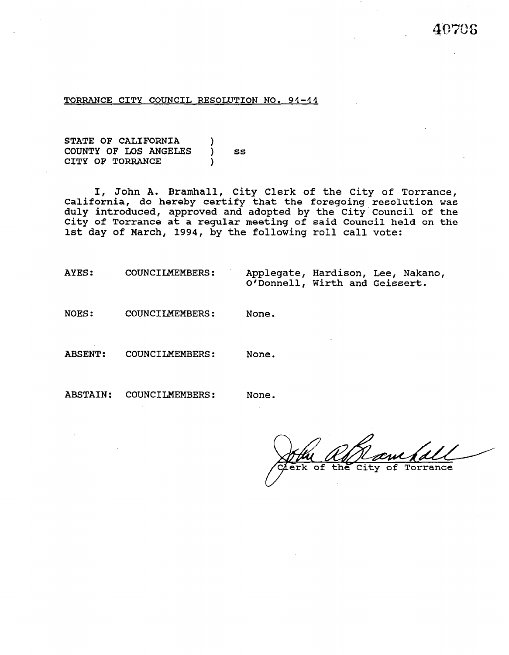#### TORRANCE CITY COUNCIL RESOLUTION NO. 94-44

STATE OF CALIFORNIA COUNTY OF LOS ANGELES ) SS CITY OF TORRANCE

I, John A. Bramhall, City Clerk of the City of Torrance California, do hereby certify that the foregoing-resolution foregoing resolution was duly introduced, approved and adopted by the City'Council of the City of Torrance at a regular meeting of said Council held on the 1st day of March, 1994, by the following roll call vote:

AYES: COUNCILMEMBERS: Applegate, Hardison, Lee, Nakano, O'Donnell, Wirth and Geissert.

NOES: COUNCILMEMBERS: None.

ABSENT: COUNCILMEMBERS: None.

ABSTAIN: COUNCILMEMBERS: None.

rk of the Torrance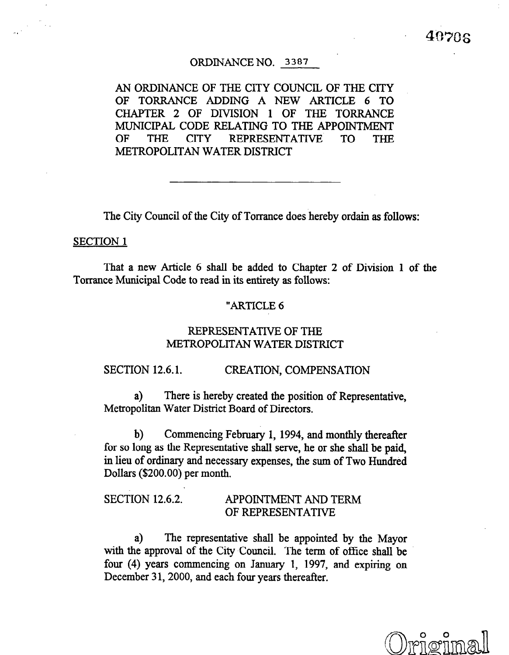## ORDINANCE NO. 3387

AN ORDINANCE OF THE CITY COUNCIL OF THE CITY OF TORRANCE ADDING A NEW ARTICLE 6 TO CHAPTER 2 OF DIVISION 1 OF THE TORRANCE MUNICIPAL CODE RELATING TO THE APPOINTMENT OF THE CITY REPRESENTATIVE TO THE METROPOLITAN WATER DISTRICT

The City Council of the City of Torrance does hereby ordain as follows:

## SECTION 1

That a new Article 6 shall be added to Chapter 2 of Division 1 of the Torrance Municipal Code to read in its entirety as follows:

## "ARTICLE 6

## REPRESENTATIVE OF THE METROPOLITAN WATER DISTRICT

## SECTION 12.6.1. CREATION, COMPENSATION

a) There is hereby created the position of Representative, Metropolitan Water District Board of Directors.

b) Commencing February 1, 1994, and monthly thereafter for some commencing representative shall serve shall be paid in the paid in the shall be paid in the shall be paid, the paid, if  $p = \frac{1}{2}$ for so long as the Representative shall serve, he or she shall be paid. in lieu of ordinary and necessary expenses, the sum of Two Hundred Dollars (\$200.00) per month.

# SECTION 12.6.2. APPOINTMENT AND TERMS OF THE RESIDENCE OF THE RESIDENCE OF THE RESIDENCE OF THE RESIDENCE OF T<br>The residence of the residence of the residence of the residence of the residence of the residence of the resid APPOINTMENT AND TERM<br>OF REPRESENTATIVE

 $\alpha$  the representative shall be approximated by the Mayor shall be approximated by the Mayor shall be approximated by the Mayor shall be approximated by the Mayor shall be approximated by the Mayor shall be approximated a) The representative shall be appointed by the Mayor with the approval of the City Council. The term of office shall be four (4) years commencing on January 1, 1997, and expiring on December 31, 2000, and each four years thereafter.

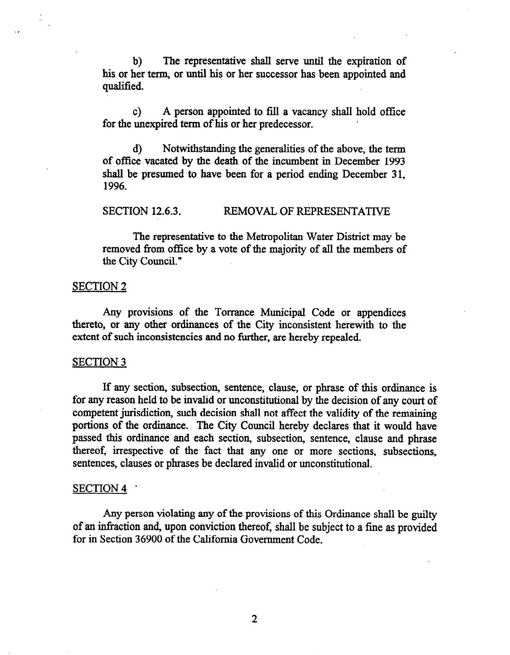b) The representative shall serve until the expiration of his or her term, or until his or her successor has been appointed and qualified.

c) A person appointed to fill a vacancy shall hold office for the unexpired term of his or her predecessor. .

d) Notwithstanding the generalities of the above, the term of office vacated by the death of the incumbent in December 1993 shall be presumed to have been for a period ending December 31, 1996.

SECTION 12.6.3. REMOVAL OF REPRESENTATIVE

The representative to the Metropolitan Water District may be removed from office by a vote of the majority of all the members of the City Council."

## SECTION 2

Any provisions of the Torrance Municipal Code or appendices thereto, or any other ordinances of the City inconsistent herewith to the extent of such inconsistencies and no further, are hereby repealed.

## SECTION 3

If any section, subsection, sentence, clause, or phrase of this ordinance is for any reason held to be invalid or unconstitutional by the decision of any court of competent jurisdiction, such decision shall not affect the validity of the remaining portions of the ordinance. The City Council hereby declares that it would have passed this ordinance and each section, subsection, sentence, clause and phrase thereof, irrespective of the fact that any one or more sections, subsections, sentences, clauses or phrases be declared invalid or unconstitutional.

## SECTION 4 .

Any person violating any of the provisions of this Ordinance shall be guilty of an infraction and, upon conviction thereof, shah be subject to a fine as provided for in Section 36900 of the California Government Code.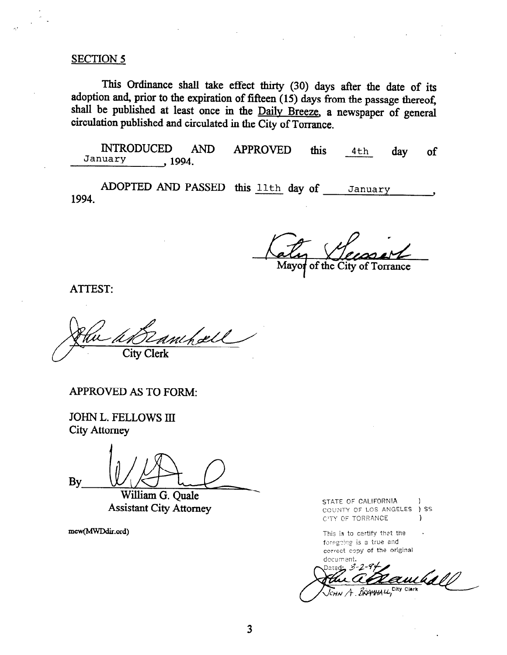## SECTION 5

This Ordinance shall take effect thirty (30) days after the date of its adoption and, prior to the expiration of fifteen  $(15)$  days from the passage thereof, shall be published at least once in the Daily Breeze, a newspaper of general circulation published and circulated in the City of Torrance.

INTRODUCED AND APPROVED this 4th , 1994. day of

ADOPTED AND PASSED this <u>11th</u> day of January 1994.

Mayor of the City of Torrance

ATTEST:

hæll  $\sqrt{ }$ **City Clerk** 

APPROVED AS TO FORM:

JOHN L. FELLOWS III City Attorney

 $\mathbf{g}_{\mathbf{y}}$  .  $\mathbf{y}_{\text{villiam } G. Quale}$ 

William G. Quale<br>Assistant City Attorney

mew(MWDdir.ord)

STATE OF CALIFORNIA (1) COUNTY OF LOS ANGELES ) SS C'TY OF TORRANCE )

This is to certify that the  $x_1$ ,  $y_2$  is a  $y_3$  and  $y_4$  and  $y_5$  $\alpha$  can confine the original contract of the original contract of the original contract of the original contract of the original contract of the original contract of the original contract of the original contract of the document.

Dered: . 3 zuck A BRANHALL, City Clerk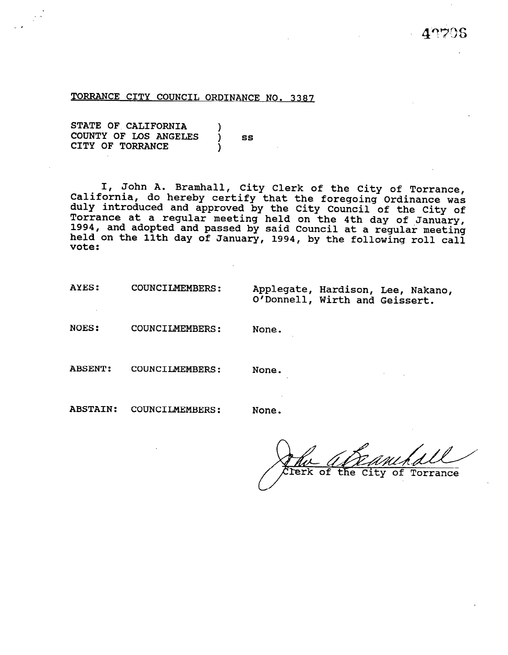#### TORRANCE CITY COUNCIL ORDINANCE NO. 3387

STATE OF CALIFORNIA COUNTY OF LOS ANGELES  $j$  ss CITY OF TORRANCE

I, John A. Bramhall, City Clerk of the City of Torranc California, do hereby certify that the foregoing Ordinance was duly introduced and approved by the City Council of the City of Torrance at a .regular meeting held on the 4th day of January, 1994, and adopted and passed by said Council at a regular meeting held on the 11th day of January, 1994, by the following roll cal vote:

| AYES:<br><b>COUNCILMEMBERS:</b> | O'Donnell, Wirth and Geissert. |  | Applegate, Hardison, Lee, Nakano, |
|---------------------------------|--------------------------------|--|-----------------------------------|
|---------------------------------|--------------------------------|--|-----------------------------------|

NOES: COUNCILMEMBERS: None.

ABSENT: COUNCILMEMBERS:

None.

ABSTAIN: COUNCILMEMBERS:

None.

LYfidLz~~& /' ferk of the City of Torrance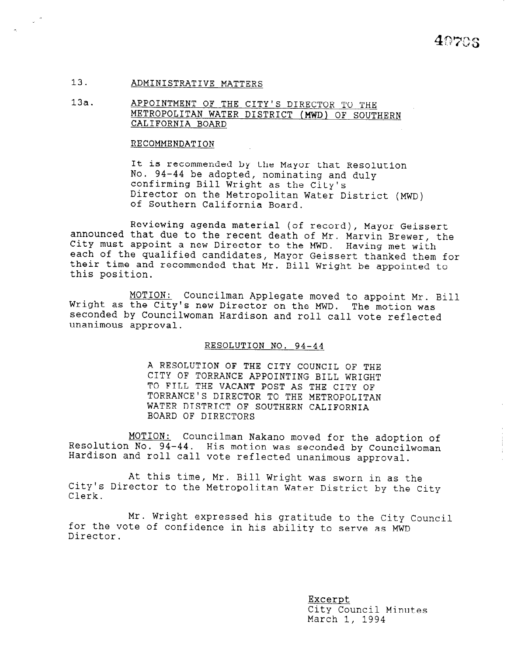#### 13. ADMINISTRATIVE MATTERS

13a. APPOINTMENT OF THE CITY'S DIRECTOR TO THE METROPOLITAN WATER DISTRICT (MWD) OF SOUTHERN CALIFORNIA BOARD

#### RECOMMENDATION

It is recommended by the Mayor that Resolution No. 94-44 be adopted, nominating and duly confirming Bill Wright as the City's Director on the Metropolitan Water District (MWD) of Southern California Board.

Reviewing agenda material (of record), Mayor Geissert announced that due to the recent death of Mr. Marvin Brewer, the City must appoint a new Director to the MWD. each of the qualified candidates, Having met with each of the qualified candidates, Mayor Geissert thanked them for Their is the qualities candidates, hajor consisted thanked them i this position.

MOTION: Councilman Applegate moved to appoint Mr. Bill Wright as the City's new Director on the MWD. The motion was<br>seconded by Councilwoman Hardison and roll call vote reflected unanimous approval.

RESOLUTION NO. 94-44

A RESOLUTION OF THE CITY COUNCIL OF THE CITY OF TORRANCE APPOINTING BILL WRIGHT TO FILL THE VACANT POST AS THE CITY OF TORRANCE'S DIRECTOR TO THE METROPOLITAN WATER DISTRICT OF SOUTHERN CALIFORNIA BOARD OF DIRECTORS

MOTION: Councilman Nakano moved for the adoption of Resolution No. 94-44. His motion was seconded by Councilwoman Hardison and roll call vote reflected unanimous approval.

At this time, Mr. Bill Wright was sworn in as the At this time, Mr. Bill wright was sworn in as the City's Director to the Metropolitan Water District by the City<br>Clerk.

Mr. Wright expressed his gratitude to the City Council for the vote of confidence in his gratitude to the City C for the vote of confidence in his ability to serve as MWD Director.

> Excerpt <u>Excerpt</u><br>City Council Minutes CITY COUNCIL<br>March 1, 1994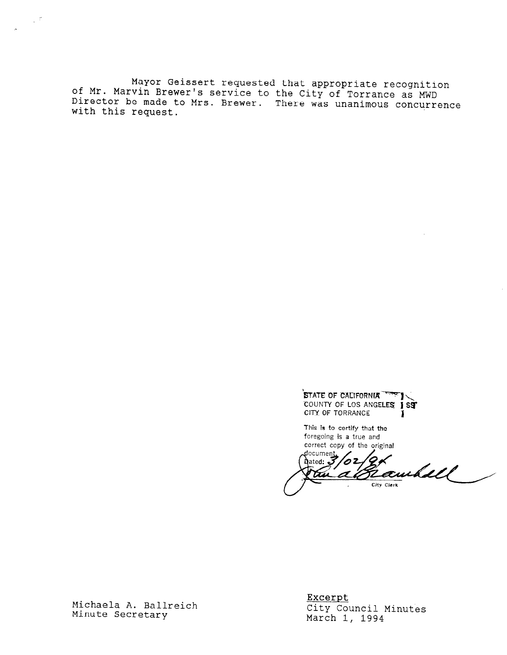of Mr. Marvin Brewer's service to the City of Torrance as MWD Mayor Geissert requested that appropriate recognition Director be made to Mrs. Brewer. There was unanimous concurren with this request.

STATE OF CALIFORNIA<sup>TER</sup>I COUNTY OF LOS ANGELES 1 SST CITY OF TORRANCE

This is to certify that the foregoing is a true and correct copy of the original

document,  $\lambda$ ated:  $\vec{J}$ 62<br>2 Rawhall 774 City Clerk

Michaela A. Ballreich Michaela A. Ba<br>...

 $\mathbb{Z}^{d}$ 

Excerpt <u>Excerpt</u> CITY COUNCII